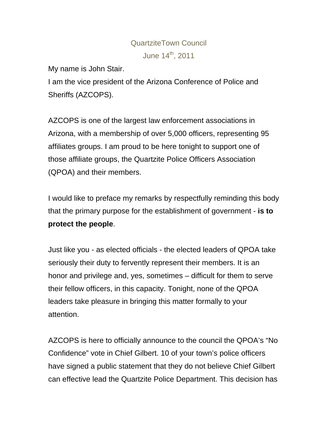## QuartziteTown Council June 14<sup>th</sup>, 2011

My name is John Stair.

I am the vice president of the Arizona Conference of Police and Sheriffs (AZCOPS).

AZCOPS is one of the largest law enforcement associations in Arizona, with a membership of over 5,000 officers, representing 95 affiliates groups. I am proud to be here tonight to support one of those affiliate groups, the Quartzite Police Officers Association (QPOA) and their members.

I would like to preface my remarks by respectfully reminding this body that the primary purpose for the establishment of government - **is to protect the people**.

Just like you - as elected officials - the elected leaders of QPOA take seriously their duty to fervently represent their members. It is an honor and privilege and, yes, sometimes – difficult for them to serve their fellow officers, in this capacity. Tonight, none of the QPOA leaders take pleasure in bringing this matter formally to your attention.

AZCOPS is here to officially announce to the council the QPOA's "No Confidence" vote in Chief Gilbert. 10 of your town's police officers have signed a public statement that they do not believe Chief Gilbert can effective lead the Quartzite Police Department. This decision has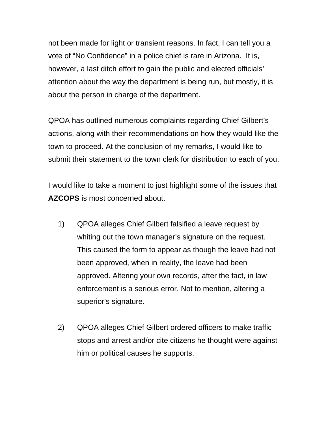not been made for light or transient reasons. In fact, I can tell you a vote of "No Confidence" in a police chief is rare in Arizona. It is, however, a last ditch effort to gain the public and elected officials' attention about the way the department is being run, but mostly, it is about the person in charge of the department.

QPOA has outlined numerous complaints regarding Chief Gilbert's actions, along with their recommendations on how they would like the town to proceed. At the conclusion of my remarks, I would like to submit their statement to the town clerk for distribution to each of you.

I would like to take a moment to just highlight some of the issues that **AZCOPS** is most concerned about.

- 1) QPOA alleges Chief Gilbert falsified a leave request by whiting out the town manager's signature on the request. This caused the form to appear as though the leave had not been approved, when in reality, the leave had been approved. Altering your own records, after the fact, in law enforcement is a serious error. Not to mention, altering a superior's signature.
- 2) QPOA alleges Chief Gilbert ordered officers to make traffic stops and arrest and/or cite citizens he thought were against him or political causes he supports.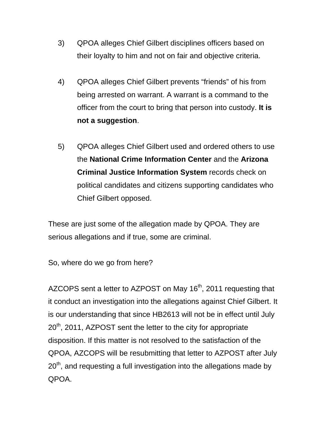- 3) QPOA alleges Chief Gilbert disciplines officers based on their loyalty to him and not on fair and objective criteria.
- 4) QPOA alleges Chief Gilbert prevents "friends" of his from being arrested on warrant. A warrant is a command to the officer from the court to bring that person into custody. **It is not a suggestion**.
- 5) QPOA alleges Chief Gilbert used and ordered others to use the **National Crime Information Center** and the **Arizona Criminal Justice Information System** records check on political candidates and citizens supporting candidates who Chief Gilbert opposed.

These are just some of the allegation made by QPOA. They are serious allegations and if true, some are criminal.

So, where do we go from here?

AZCOPS sent a letter to AZPOST on May 16<sup>th</sup>, 2011 requesting that it conduct an investigation into the allegations against Chief Gilbert. It is our understanding that since HB2613 will not be in effect until July  $20<sup>th</sup>$ , 2011, AZPOST sent the letter to the city for appropriate disposition. If this matter is not resolved to the satisfaction of the QPOA, AZCOPS will be resubmitting that letter to AZPOST after July  $20<sup>th</sup>$ , and requesting a full investigation into the allegations made by QPOA.